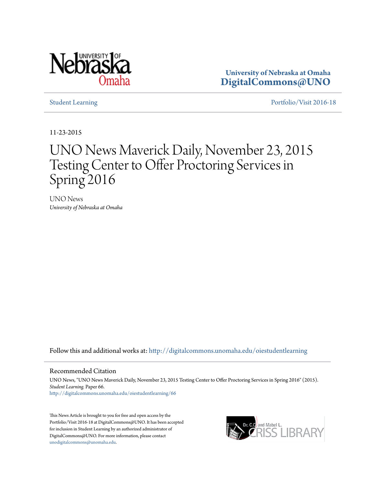

**University of Nebraska at Omaha [DigitalCommons@UNO](http://digitalcommons.unomaha.edu?utm_source=digitalcommons.unomaha.edu%2Foiestudentlearning%2F66&utm_medium=PDF&utm_campaign=PDFCoverPages)**

[Student Learning](http://digitalcommons.unomaha.edu/oiestudentlearning?utm_source=digitalcommons.unomaha.edu%2Foiestudentlearning%2F66&utm_medium=PDF&utm_campaign=PDFCoverPages) **[Portfolio/Visit 2016-18](http://digitalcommons.unomaha.edu/oieportfolio?utm_source=digitalcommons.unomaha.edu%2Foiestudentlearning%2F66&utm_medium=PDF&utm_campaign=PDFCoverPages)** 

11-23-2015

# UNO News Maverick Daily, November 23, 2015 Testing Center to Offer Proctoring Services in Spring 2016

UNO News *University of Nebraska at Omaha*

Follow this and additional works at: [http://digitalcommons.unomaha.edu/oiestudentlearning](http://digitalcommons.unomaha.edu/oiestudentlearning?utm_source=digitalcommons.unomaha.edu%2Foiestudentlearning%2F66&utm_medium=PDF&utm_campaign=PDFCoverPages)

## Recommended Citation

UNO News, "UNO News Maverick Daily, November 23, 2015 Testing Center to Offer Proctoring Services in Spring 2016" (2015). *Student Learning.* Paper 66. [http://digitalcommons.unomaha.edu/oiestudentlearning/66](http://digitalcommons.unomaha.edu/oiestudentlearning/66?utm_source=digitalcommons.unomaha.edu%2Foiestudentlearning%2F66&utm_medium=PDF&utm_campaign=PDFCoverPages)

This News Article is brought to you for free and open access by the Portfolio/Visit 2016-18 at DigitalCommons@UNO. It has been accepted for inclusion in Student Learning by an authorized administrator of DigitalCommons@UNO. For more information, please contact [unodigitalcommons@unomaha.edu](mailto:unodigitalcommons@unomaha.edu).

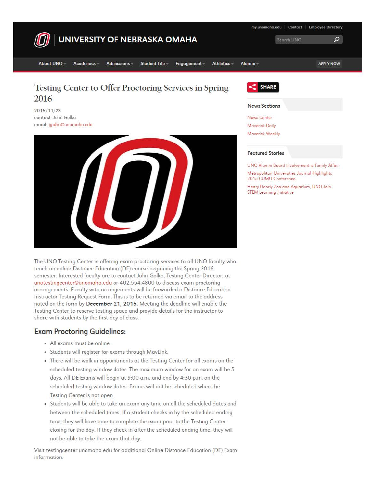

The UNO Testing Center is offering exam proctoring services to all UNO faculty who teach an online Distance Education (DE) course beginning the Spring 2016 semester. Interested faculty are to contact John Golka, Testing Center Director, at unotestingcenter@unomaha.edu or 402.554.4800 to discuss exam proctoring arrangements. Faculty with arrongements will be forwarded a Distance Education Instructor Testing Request Form. This is to be returned via email to the address noted on the form by December 21, 2015. Meeting the deadline will enable the Testing Center to reserve testing space and provide details for the instructor to share with students by the first day of class.

# Exam Proctoring Guidelines:

- All exams must be online.
- Students will register for exams through Movlink.
- There **will** be walk-in appointments at the Testing Center for all exams on the scheduled testing window dotes. The maximum window for on exam **will** be 5 days. All DE Exams will begin at 9:00 o.m. and end by 4:30 p.m. on the scheduled testing window dotes. Exams **will** not be scheduled when the Testing Center is not open.
- Students will be able to take an exam any time on all the scheduled dotes and between the scheduled times. If a student checks in by the scheduled ending time, they **will** hove time to complete the exam prior to the Testing Center closing for the day. If they check in ofter the scheduled ending time, they will not be able to take the exam that day.

Visit testingcenter.unomoho.edu for additional Online Distance Education (DE) Exam information.